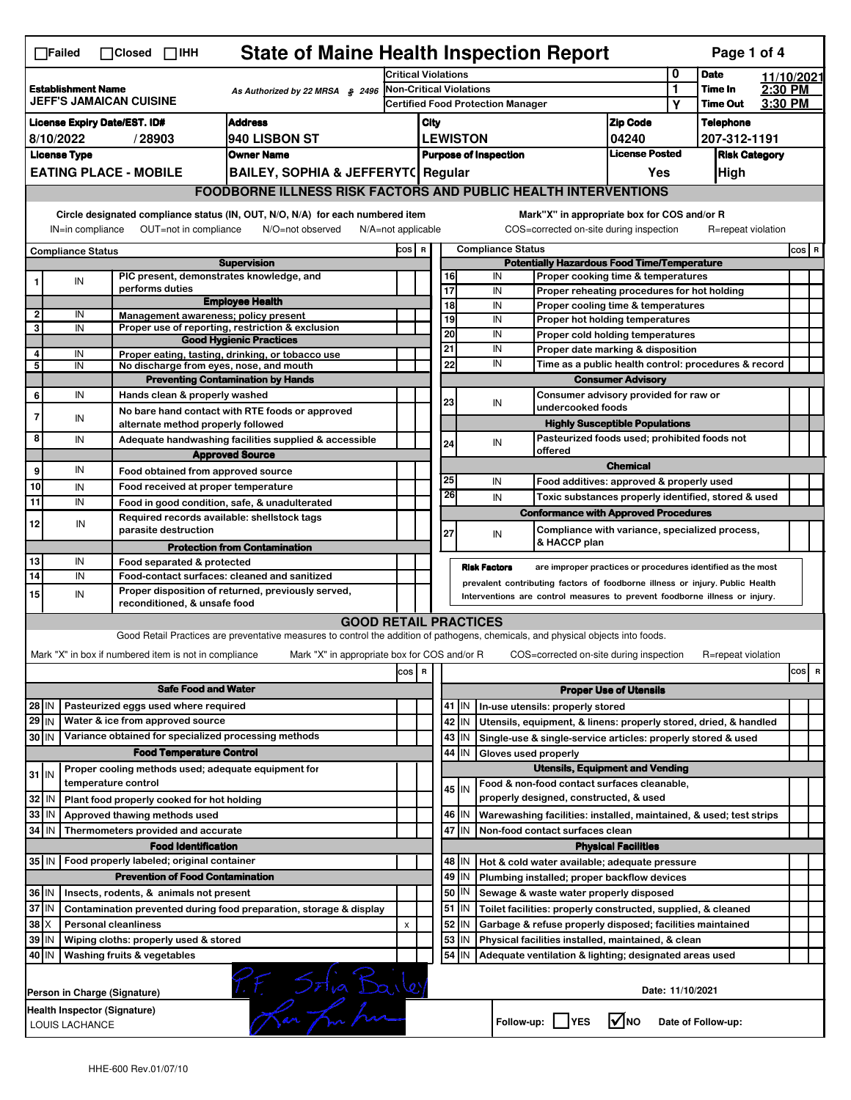|                                                                                                                                                                                                                                                                                       | <b>State of Maine Health Inspection Report</b><br>Page 1 of 4<br>∏Failed<br>$\Box$ Closed $\Box$ IHH                   |                                                                                                                                                                  |                                                       |                                                                                                                                   |       |                                                                               |                                                                                          |                                                              |                                                                                              |                                                                                           |                            |                                              |                    |  |            |  |
|---------------------------------------------------------------------------------------------------------------------------------------------------------------------------------------------------------------------------------------------------------------------------------------|------------------------------------------------------------------------------------------------------------------------|------------------------------------------------------------------------------------------------------------------------------------------------------------------|-------------------------------------------------------|-----------------------------------------------------------------------------------------------------------------------------------|-------|-------------------------------------------------------------------------------|------------------------------------------------------------------------------------------|--------------------------------------------------------------|----------------------------------------------------------------------------------------------|-------------------------------------------------------------------------------------------|----------------------------|----------------------------------------------|--------------------|--|------------|--|
|                                                                                                                                                                                                                                                                                       |                                                                                                                        |                                                                                                                                                                  |                                                       |                                                                                                                                   |       | <b>Critical Violations</b>                                                    |                                                                                          |                                                              |                                                                                              |                                                                                           |                            |                                              | <b>Date</b>        |  | 11/10/2021 |  |
| <b>Establishment Name</b><br>As Authorized by 22 MRSA § 2496<br><b>JEFF'S JAMAICAN CUISINE</b>                                                                                                                                                                                        |                                                                                                                        |                                                                                                                                                                  |                                                       | Non-Critical Violations                                                                                                           |       |                                                                               |                                                                                          |                                                              |                                                                                              | $\mathbf{1}$<br>Υ                                                                         | Time In<br><b>Time Out</b> | 2:30 PM<br>3:30 PM                           |                    |  |            |  |
| <b>License Expiry Date/EST. ID#</b><br><b>Address</b>                                                                                                                                                                                                                                 |                                                                                                                        |                                                                                                                                                                  |                                                       |                                                                                                                                   |       | <b>Certified Food Protection Manager</b>                                      |                                                                                          |                                                              |                                                                                              |                                                                                           |                            |                                              |                    |  |            |  |
| 940 LISBON ST<br>8/10/2022<br>/28903                                                                                                                                                                                                                                                  |                                                                                                                        |                                                                                                                                                                  |                                                       |                                                                                                                                   |       | <b>Zip Code</b><br>City<br><b>LEWISTON</b>                                    |                                                                                          |                                                              |                                                                                              | 04240                                                                                     |                            | <b>Telephone</b><br>207-312-1191             |                    |  |            |  |
| <b>License Type</b><br><b>Owner Name</b>                                                                                                                                                                                                                                              |                                                                                                                        |                                                                                                                                                                  |                                                       |                                                                                                                                   |       | <b>License Posted</b><br><b>Purpose of Inspection</b><br><b>Risk Category</b> |                                                                                          |                                                              |                                                                                              |                                                                                           |                            |                                              |                    |  |            |  |
|                                                                                                                                                                                                                                                                                       |                                                                                                                        |                                                                                                                                                                  |                                                       | <b>BAILEY, SOPHIA &amp; JEFFERYT( Regular</b>                                                                                     |       | Yes<br>High                                                                   |                                                                                          |                                                              |                                                                                              |                                                                                           |                            |                                              |                    |  |            |  |
| <b>EATING PLACE - MOBILE</b><br><b>FOODBORNE ILLNESS RISK FACTORS AND PUBLIC HEALTH INTERVENTIONS</b>                                                                                                                                                                                 |                                                                                                                        |                                                                                                                                                                  |                                                       |                                                                                                                                   |       |                                                                               |                                                                                          |                                                              |                                                                                              |                                                                                           |                            |                                              |                    |  |            |  |
| Circle designated compliance status (IN, OUT, N/O, N/A) for each numbered item<br>Mark"X" in appropriate box for COS and/or R<br>OUT=not in compliance<br>COS=corrected on-site during inspection<br>R=repeat violation<br>IN=in compliance<br>N/O=not observed<br>N/A=not applicable |                                                                                                                        |                                                                                                                                                                  |                                                       |                                                                                                                                   |       |                                                                               |                                                                                          |                                                              |                                                                                              |                                                                                           |                            |                                              |                    |  |            |  |
| <b>Compliance Status</b>                                                                                                                                                                                                                                                              |                                                                                                                        |                                                                                                                                                                  |                                                       |                                                                                                                                   | COS R |                                                                               | <b>Compliance Status</b>                                                                 |                                                              |                                                                                              |                                                                                           |                            |                                              |                    |  | $cos$ R    |  |
| <b>Supervision</b><br>PIC present, demonstrates knowledge, and                                                                                                                                                                                                                        |                                                                                                                        |                                                                                                                                                                  |                                                       |                                                                                                                                   |       |                                                                               | <b>Potentially Hazardous Food Time/Temperature</b><br>Proper cooking time & temperatures |                                                              |                                                                                              |                                                                                           |                            |                                              |                    |  |            |  |
| 1                                                                                                                                                                                                                                                                                     | IN                                                                                                                     |                                                                                                                                                                  | performs duties                                       |                                                                                                                                   |       |                                                                               | 16<br>17                                                                                 |                                                              | IN<br>IN                                                                                     | Proper reheating procedures for hot holding                                               |                            |                                              |                    |  |            |  |
|                                                                                                                                                                                                                                                                                       |                                                                                                                        |                                                                                                                                                                  |                                                       | <b>Employee Health</b>                                                                                                            |       |                                                                               | 18                                                                                       |                                                              | IN                                                                                           | Proper cooling time & temperatures                                                        |                            |                                              |                    |  |            |  |
| $\overline{\mathbf{2}}$                                                                                                                                                                                                                                                               | IN                                                                                                                     |                                                                                                                                                                  |                                                       | Management awareness; policy present                                                                                              |       |                                                                               | 19                                                                                       |                                                              | IN                                                                                           | Proper hot holding temperatures                                                           |                            |                                              |                    |  |            |  |
| 3                                                                                                                                                                                                                                                                                     | IN                                                                                                                     |                                                                                                                                                                  |                                                       | Proper use of reporting, restriction & exclusion<br><b>Good Hygienic Practices</b>                                                |       |                                                                               | 20                                                                                       |                                                              | IN                                                                                           | Proper cold holding temperatures                                                          |                            |                                              |                    |  |            |  |
| $\overline{4}$                                                                                                                                                                                                                                                                        | IN                                                                                                                     |                                                                                                                                                                  |                                                       | Proper eating, tasting, drinking, or tobacco use                                                                                  |       |                                                                               | 21                                                                                       |                                                              | IN                                                                                           | Proper date marking & disposition<br>Time as a public health control: procedures & record |                            |                                              |                    |  |            |  |
| 5                                                                                                                                                                                                                                                                                     | IN                                                                                                                     |                                                                                                                                                                  |                                                       | No discharge from eyes, nose, and mouth                                                                                           |       |                                                                               | 22                                                                                       |                                                              | IN                                                                                           |                                                                                           |                            |                                              |                    |  |            |  |
|                                                                                                                                                                                                                                                                                       |                                                                                                                        |                                                                                                                                                                  |                                                       | <b>Preventing Contamination by Hands</b>                                                                                          |       |                                                                               |                                                                                          |                                                              |                                                                                              | <b>Consumer Advisory</b>                                                                  |                            |                                              |                    |  |            |  |
| 6                                                                                                                                                                                                                                                                                     | IN                                                                                                                     |                                                                                                                                                                  | Hands clean & properly washed                         | No bare hand contact with RTE foods or approved                                                                                   |       |                                                                               | 23                                                                                       |                                                              | IN                                                                                           | Consumer advisory provided for raw or<br>undercooked foods                                |                            |                                              |                    |  |            |  |
| $\overline{7}$                                                                                                                                                                                                                                                                        | IN                                                                                                                     |                                                                                                                                                                  |                                                       | alternate method properly followed                                                                                                |       |                                                                               |                                                                                          |                                                              |                                                                                              | <b>Highly Susceptible Populations</b>                                                     |                            |                                              |                    |  |            |  |
| 8                                                                                                                                                                                                                                                                                     | IN                                                                                                                     |                                                                                                                                                                  |                                                       | Adequate handwashing facilities supplied & accessible                                                                             |       |                                                                               | 24                                                                                       |                                                              | IN                                                                                           |                                                                                           |                            | Pasteurized foods used; prohibited foods not |                    |  |            |  |
|                                                                                                                                                                                                                                                                                       |                                                                                                                        |                                                                                                                                                                  |                                                       | <b>Approved Source</b>                                                                                                            |       |                                                                               |                                                                                          |                                                              |                                                                                              | offered                                                                                   |                            |                                              |                    |  |            |  |
| 9                                                                                                                                                                                                                                                                                     | IN                                                                                                                     |                                                                                                                                                                  |                                                       | Food obtained from approved source                                                                                                |       |                                                                               |                                                                                          |                                                              |                                                                                              |                                                                                           | <b>Chemical</b>            |                                              |                    |  |            |  |
| 10                                                                                                                                                                                                                                                                                    | IN                                                                                                                     |                                                                                                                                                                  |                                                       | Food received at proper temperature                                                                                               |       |                                                                               | 25                                                                                       |                                                              | IN                                                                                           | Food additives: approved & properly used                                                  |                            |                                              |                    |  |            |  |
| 11                                                                                                                                                                                                                                                                                    | IN                                                                                                                     |                                                                                                                                                                  |                                                       | Food in good condition, safe, & unadulterated                                                                                     |       |                                                                               | 26                                                                                       |                                                              | IN                                                                                           | Toxic substances properly identified, stored & used                                       |                            |                                              |                    |  |            |  |
| 12                                                                                                                                                                                                                                                                                    | IN                                                                                                                     |                                                                                                                                                                  |                                                       | Required records available: shellstock tags                                                                                       |       |                                                                               |                                                                                          |                                                              |                                                                                              | <b>Conformance with Approved Procedures</b>                                               |                            |                                              |                    |  |            |  |
|                                                                                                                                                                                                                                                                                       |                                                                                                                        |                                                                                                                                                                  | parasite destruction                                  |                                                                                                                                   |       |                                                                               | 27                                                                                       |                                                              | IN                                                                                           | Compliance with variance, specialized process,<br>& HACCP plan                            |                            |                                              |                    |  |            |  |
|                                                                                                                                                                                                                                                                                       |                                                                                                                        |                                                                                                                                                                  |                                                       | <b>Protection from Contamination</b>                                                                                              |       |                                                                               |                                                                                          |                                                              |                                                                                              |                                                                                           |                            |                                              |                    |  |            |  |
| 13<br>14                                                                                                                                                                                                                                                                              | IN<br>IN                                                                                                               | Food separated & protected<br><b>Risk Factors</b><br>are improper practices or procedures identified as the most<br>Food-contact surfaces: cleaned and sanitized |                                                       |                                                                                                                                   |       |                                                                               |                                                                                          |                                                              |                                                                                              |                                                                                           |                            |                                              |                    |  |            |  |
|                                                                                                                                                                                                                                                                                       |                                                                                                                        | prevalent contributing factors of foodborne illness or injury. Public Health<br>Proper disposition of returned, previously served,                               |                                                       |                                                                                                                                   |       |                                                                               |                                                                                          |                                                              |                                                                                              |                                                                                           |                            |                                              |                    |  |            |  |
|                                                                                                                                                                                                                                                                                       | 15<br>IN<br>Interventions are control measures to prevent foodborne illness or injury.<br>reconditioned, & unsafe food |                                                                                                                                                                  |                                                       |                                                                                                                                   |       |                                                                               |                                                                                          |                                                              |                                                                                              |                                                                                           |                            |                                              |                    |  |            |  |
|                                                                                                                                                                                                                                                                                       |                                                                                                                        |                                                                                                                                                                  |                                                       | <b>GOOD RETAIL PRACTICES</b>                                                                                                      |       |                                                                               |                                                                                          |                                                              |                                                                                              |                                                                                           |                            |                                              |                    |  |            |  |
|                                                                                                                                                                                                                                                                                       |                                                                                                                        |                                                                                                                                                                  |                                                       | Good Retail Practices are preventative measures to control the addition of pathogens, chemicals, and physical objects into foods. |       |                                                                               |                                                                                          |                                                              |                                                                                              |                                                                                           |                            |                                              |                    |  |            |  |
|                                                                                                                                                                                                                                                                                       |                                                                                                                        |                                                                                                                                                                  | Mark "X" in box if numbered item is not in compliance | Mark "X" in appropriate box for COS and/or R                                                                                      |       |                                                                               |                                                                                          |                                                              |                                                                                              | COS=corrected on-site during inspection                                                   |                            |                                              | R=repeat violation |  |            |  |
|                                                                                                                                                                                                                                                                                       |                                                                                                                        |                                                                                                                                                                  |                                                       |                                                                                                                                   | cos   | $\,$ R                                                                        |                                                                                          |                                                              |                                                                                              |                                                                                           |                            |                                              |                    |  | cos<br>R   |  |
| <b>Safe Food and Water</b>                                                                                                                                                                                                                                                            |                                                                                                                        |                                                                                                                                                                  |                                                       |                                                                                                                                   |       |                                                                               | <b>Proper Use of Utensils</b>                                                            |                                                              |                                                                                              |                                                                                           |                            |                                              |                    |  |            |  |
| Pasteurized eggs used where required<br>28 IN                                                                                                                                                                                                                                         |                                                                                                                        |                                                                                                                                                                  |                                                       |                                                                                                                                   |       |                                                                               |                                                                                          | 41 J IN                                                      |                                                                                              | In-use utensils: properly stored                                                          |                            |                                              |                    |  |            |  |
| $29$ IN                                                                                                                                                                                                                                                                               |                                                                                                                        |                                                                                                                                                                  | Water & ice from approved source                      |                                                                                                                                   |       |                                                                               |                                                                                          | 42<br>IN                                                     |                                                                                              | Utensils, equipment, & linens: properly stored, dried, & handled                          |                            |                                              |                    |  |            |  |
| Variance obtained for specialized processing methods<br>30 IN                                                                                                                                                                                                                         |                                                                                                                        |                                                                                                                                                                  |                                                       |                                                                                                                                   |       | 43   IN                                                                       |                                                                                          | Single-use & single-service articles: properly stored & used |                                                                                              |                                                                                           |                            |                                              |                    |  |            |  |
| <b>Food Temperature Control</b>                                                                                                                                                                                                                                                       |                                                                                                                        |                                                                                                                                                                  |                                                       |                                                                                                                                   |       |                                                                               |                                                                                          | 44 IN                                                        | Gloves used properly                                                                         |                                                                                           |                            |                                              |                    |  |            |  |
| $31$ IN                                                                                                                                                                                                                                                                               |                                                                                                                        |                                                                                                                                                                  |                                                       | Proper cooling methods used; adequate equipment for                                                                               |       |                                                                               |                                                                                          |                                                              |                                                                                              | <b>Utensils, Equipment and Vending</b>                                                    |                            |                                              |                    |  |            |  |
|                                                                                                                                                                                                                                                                                       |                                                                                                                        | temperature control                                                                                                                                              |                                                       |                                                                                                                                   |       |                                                                               |                                                                                          | $45$ IN                                                      |                                                                                              | Food & non-food contact surfaces cleanable,                                               |                            |                                              |                    |  |            |  |
| 32 IN                                                                                                                                                                                                                                                                                 |                                                                                                                        |                                                                                                                                                                  | Plant food properly cooked for hot holding            |                                                                                                                                   |       |                                                                               |                                                                                          |                                                              |                                                                                              | properly designed, constructed, & used                                                    |                            |                                              |                    |  |            |  |
| 33                                                                                                                                                                                                                                                                                    | l IN                                                                                                                   |                                                                                                                                                                  | Approved thawing methods used                         |                                                                                                                                   |       |                                                                               |                                                                                          | 46 IN                                                        |                                                                                              | Warewashing facilities: installed, maintained, & used; test strips                        |                            |                                              |                    |  |            |  |
| 34                                                                                                                                                                                                                                                                                    | IN                                                                                                                     |                                                                                                                                                                  | Thermometers provided and accurate                    |                                                                                                                                   |       |                                                                               | 47                                                                                       | IN                                                           |                                                                                              | Non-food contact surfaces clean                                                           |                            |                                              |                    |  |            |  |
|                                                                                                                                                                                                                                                                                       |                                                                                                                        |                                                                                                                                                                  | <b>Food Identification</b>                            |                                                                                                                                   |       |                                                                               |                                                                                          |                                                              |                                                                                              |                                                                                           | <b>Physical Facilities</b> |                                              |                    |  |            |  |
| 35 IN   Food properly labeled; original container<br><b>Prevention of Food Contamination</b>                                                                                                                                                                                          |                                                                                                                        |                                                                                                                                                                  |                                                       |                                                                                                                                   |       |                                                                               | 48   IN<br>49 IN                                                                         |                                                              | Hot & cold water available; adequate pressure<br>Plumbing installed; proper backflow devices |                                                                                           |                            |                                              |                    |  |            |  |
| 36 IN                                                                                                                                                                                                                                                                                 |                                                                                                                        |                                                                                                                                                                  |                                                       |                                                                                                                                   |       | 50                                                                            | IN                                                                                       |                                                              | Sewage & waste water properly disposed                                                       |                                                                                           |                            |                                              |                    |  |            |  |
| Insects, rodents, & animals not present<br>37 IN<br>Contamination prevented during food preparation, storage & display                                                                                                                                                                |                                                                                                                        |                                                                                                                                                                  |                                                       |                                                                                                                                   |       |                                                                               |                                                                                          | $51$ $\vert$ IN                                              |                                                                                              | Toilet facilities: properly constructed, supplied, & cleaned                              |                            |                                              |                    |  |            |  |
| $38$ $\times$<br><b>Personal cleanliness</b>                                                                                                                                                                                                                                          |                                                                                                                        |                                                                                                                                                                  |                                                       | x                                                                                                                                 |       |                                                                               | $52$ M                                                                                   |                                                              | Garbage & refuse properly disposed; facilities maintained                                    |                                                                                           |                            |                                              |                    |  |            |  |
| 39 IN                                                                                                                                                                                                                                                                                 |                                                                                                                        |                                                                                                                                                                  | Wiping cloths: properly used & stored                 |                                                                                                                                   |       |                                                                               | 53                                                                                       | IN                                                           |                                                                                              | Physical facilities installed, maintained, & clean                                        |                            |                                              |                    |  |            |  |
| 40   IN                                                                                                                                                                                                                                                                               |                                                                                                                        |                                                                                                                                                                  | Washing fruits & vegetables                           |                                                                                                                                   |       |                                                                               | 54                                                                                       | IN                                                           |                                                                                              | Adequate ventilation & lighting; designated areas used                                    |                            |                                              |                    |  |            |  |
| P.F. Solia Bailey<br>Date: 11/10/2021<br>Person in Charge (Signature)                                                                                                                                                                                                                 |                                                                                                                        |                                                                                                                                                                  |                                                       |                                                                                                                                   |       |                                                                               |                                                                                          |                                                              |                                                                                              |                                                                                           |                            |                                              |                    |  |            |  |
|                                                                                                                                                                                                                                                                                       | Health Inspector (Signature)<br>$\sqrt{ }$ NO<br>Follow-up:     YES<br>Date of Follow-up:<br>LOUIS LACHANCE            |                                                                                                                                                                  |                                                       |                                                                                                                                   |       |                                                                               |                                                                                          |                                                              |                                                                                              |                                                                                           |                            |                                              |                    |  |            |  |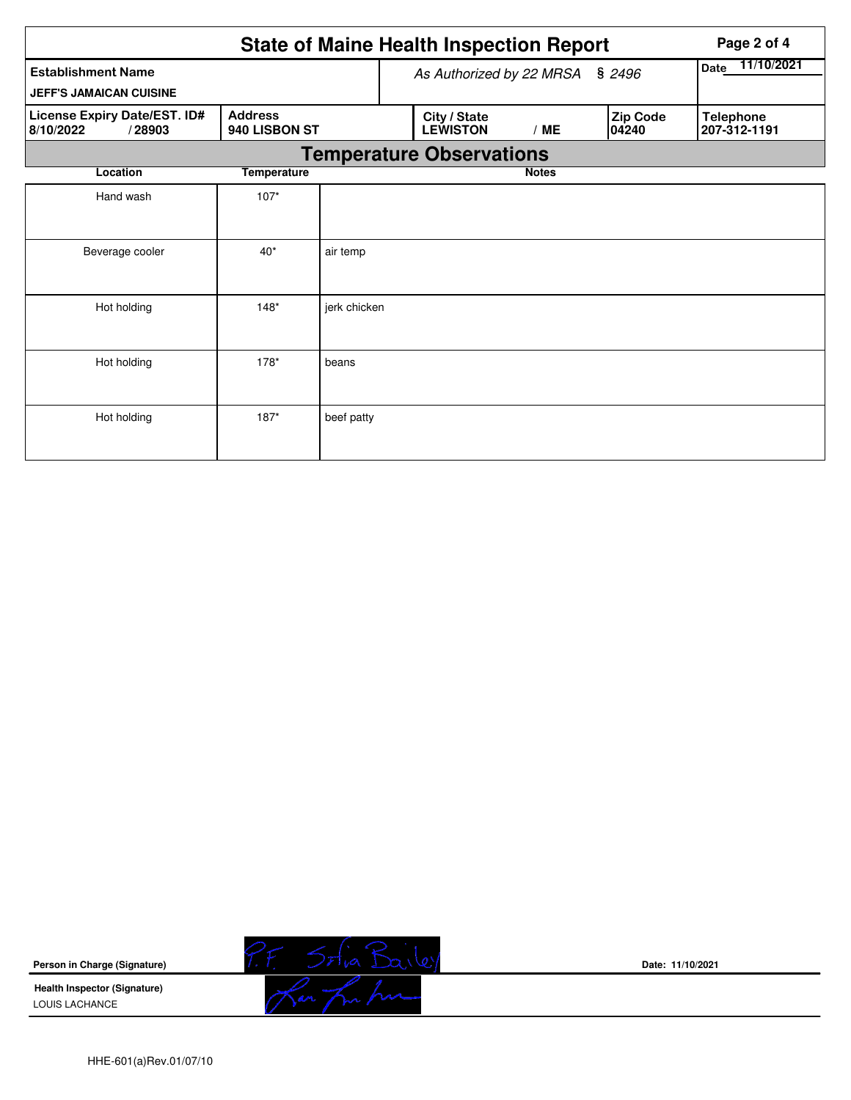|                                                                                        | <b>State of Maine Health Inspection Report</b> | Page 2 of 4  |  |                                                             |              |                           |                                  |  |  |  |  |  |
|----------------------------------------------------------------------------------------|------------------------------------------------|--------------|--|-------------------------------------------------------------|--------------|---------------------------|----------------------------------|--|--|--|--|--|
| <b>Establishment Name</b>                                                              | As Authorized by 22 MRSA § 2496                |              |  |                                                             |              | 11/10/2021<br><b>Date</b> |                                  |  |  |  |  |  |
| <b>JEFF'S JAMAICAN CUISINE</b>                                                         |                                                |              |  |                                                             |              |                           |                                  |  |  |  |  |  |
| <b>Address</b><br>License Expiry Date/EST. ID#<br>940 LISBON ST<br>8/10/2022<br>/28903 |                                                |              |  | City / State<br>Zip Code<br><b>LEWISTON</b><br>/ME<br>04240 |              |                           | <b>Telephone</b><br>207-312-1191 |  |  |  |  |  |
| <b>Temperature Observations</b>                                                        |                                                |              |  |                                                             |              |                           |                                  |  |  |  |  |  |
| Location                                                                               | <b>Temperature</b>                             |              |  |                                                             | <b>Notes</b> |                           |                                  |  |  |  |  |  |
| Hand wash                                                                              | $107*$                                         |              |  |                                                             |              |                           |                                  |  |  |  |  |  |
| Beverage cooler                                                                        | $40*$                                          | air temp     |  |                                                             |              |                           |                                  |  |  |  |  |  |
| Hot holding                                                                            | $148*$                                         | jerk chicken |  |                                                             |              |                           |                                  |  |  |  |  |  |
| Hot holding                                                                            | $178*$                                         | beans        |  |                                                             |              |                           |                                  |  |  |  |  |  |
| Hot holding                                                                            | $187*$                                         | beef patty   |  |                                                             |              |                           |                                  |  |  |  |  |  |

**Person in Charge (Signature)**

**Health Inspector (Signature)**  LOUIS LACHANCE



**Date: 11/10/2021**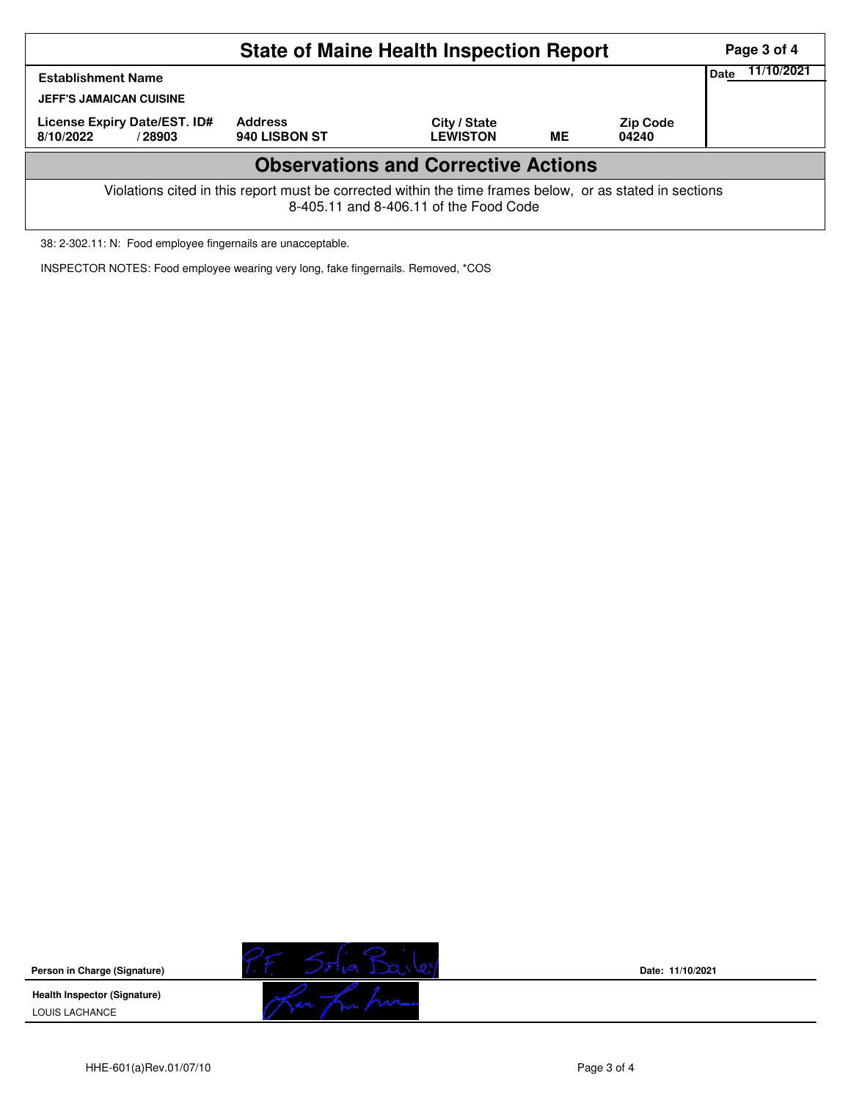|                                                                                                                                                    | Page 3 of 4 |            |  |  |  |  |  |  |  |  |
|----------------------------------------------------------------------------------------------------------------------------------------------------|-------------|------------|--|--|--|--|--|--|--|--|
| <b>Establishment Name</b><br><b>JEFF'S JAMAICAN CUISINE</b><br>License Expiry Date/EST. ID#<br>8/10/2022<br>/28903                                 | Date        | 11/10/2021 |  |  |  |  |  |  |  |  |
| <b>Observations and Corrective Actions</b>                                                                                                         |             |            |  |  |  |  |  |  |  |  |
| Violations cited in this report must be corrected within the time frames below, or as stated in sections<br>8-405.11 and 8-406.11 of the Food Code |             |            |  |  |  |  |  |  |  |  |

38: 2-302.11: N: Food employee fingernails are unacceptable.

INSPECTOR NOTES: Food employee wearing very long, fake fingernails. Removed, \*COS

**Person in Charge (Signature) Health Inspector (Signature)**  LOUIS LACHANCE



**Date: 11/10/2021**